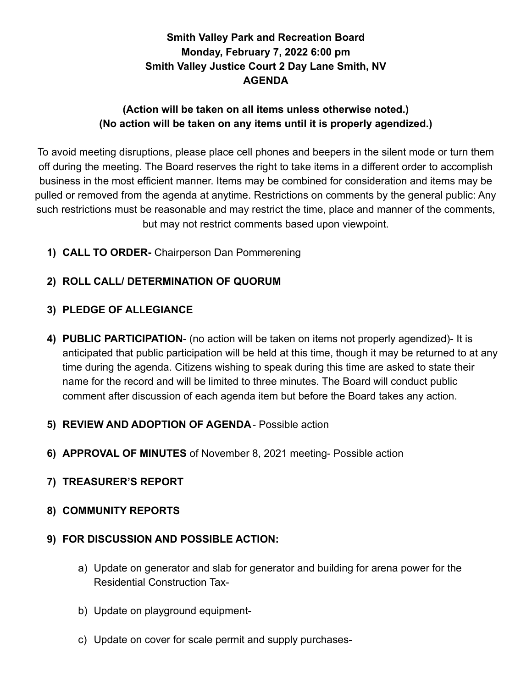# **Smith Valley Park and Recreation Board Monday, February 7, 2022 6:00 pm Smith Valley Justice Court 2 Day Lane Smith, NV AGENDA**

# **(Action will be taken on all items unless otherwise noted.) (No action will be taken on any items until it is properly agendized.)**

To avoid meeting disruptions, please place cell phones and beepers in the silent mode or turn them off during the meeting. The Board reserves the right to take items in a different order to accomplish business in the most efficient manner. Items may be combined for consideration and items may be pulled or removed from the agenda at anytime. Restrictions on comments by the general public: Any such restrictions must be reasonable and may restrict the time, place and manner of the comments, but may not restrict comments based upon viewpoint.

**1) CALL TO ORDER-** Chairperson Dan Pommerening

# **2) ROLL CALL/ DETERMINATION OF QUORUM**

# **3) PLEDGE OF ALLEGIANCE**

- **4) PUBLIC PARTICIPATION** (no action will be taken on items not properly agendized)- It is anticipated that public participation will be held at this time, though it may be returned to at any time during the agenda. Citizens wishing to speak during this time are asked to state their name for the record and will be limited to three minutes. The Board will conduct public comment after discussion of each agenda item but before the Board takes any action.
- **5) REVIEW AND ADOPTION OF AGENDA** Possible action
- **6) APPROVAL OF MINUTES** of November 8, 2021 meeting- Possible action
- **7) TREASURER'S REPORT**
- **8) COMMUNITY REPORTS**

### **9) FOR DISCUSSION AND POSSIBLE ACTION:**

- a) Update on generator and slab for generator and building for arena power for the Residential Construction Tax-
- b) Update on playground equipment-
- c) Update on cover for scale permit and supply purchases-